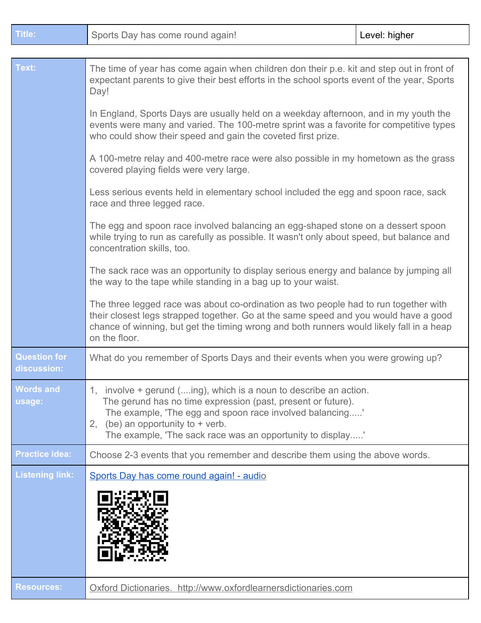| <b>Title:</b>                      | Sports Day has come round again!                                                                                                                                                                                                                                                                                                                                                                                                                                                                                                                                                                                                                                                                                                                                                                                                                                                                                                                                                                                                                                                                                                                                                                                                                                                                                                                                                 | Level: higher |
|------------------------------------|----------------------------------------------------------------------------------------------------------------------------------------------------------------------------------------------------------------------------------------------------------------------------------------------------------------------------------------------------------------------------------------------------------------------------------------------------------------------------------------------------------------------------------------------------------------------------------------------------------------------------------------------------------------------------------------------------------------------------------------------------------------------------------------------------------------------------------------------------------------------------------------------------------------------------------------------------------------------------------------------------------------------------------------------------------------------------------------------------------------------------------------------------------------------------------------------------------------------------------------------------------------------------------------------------------------------------------------------------------------------------------|---------------|
|                                    |                                                                                                                                                                                                                                                                                                                                                                                                                                                                                                                                                                                                                                                                                                                                                                                                                                                                                                                                                                                                                                                                                                                                                                                                                                                                                                                                                                                  |               |
| Text:                              | The time of year has come again when children don their p.e. kit and step out in front of<br>expectant parents to give their best efforts in the school sports event of the year, Sports<br>Day!<br>In England, Sports Days are usually held on a weekday afternoon, and in my youth the<br>events were many and varied. The 100-metre sprint was a favorite for competitive types<br>who could show their speed and gain the coveted first prize.<br>A 100-metre relay and 400-metre race were also possible in my hometown as the grass<br>covered playing fields were very large.<br>Less serious events held in elementary school included the egg and spoon race, sack<br>race and three legged race.<br>The egg and spoon race involved balancing an egg-shaped stone on a dessert spoon<br>while trying to run as carefully as possible. It wasn't only about speed, but balance and<br>concentration skills, too.<br>The sack race was an opportunity to display serious energy and balance by jumping all<br>the way to the tape while standing in a bag up to your waist.<br>The three legged race was about co-ordination as two people had to run together with<br>their closest legs strapped together. Go at the same speed and you would have a good<br>chance of winning, but get the timing wrong and both runners would likely fall in a heap<br>on the floor. |               |
|                                    |                                                                                                                                                                                                                                                                                                                                                                                                                                                                                                                                                                                                                                                                                                                                                                                                                                                                                                                                                                                                                                                                                                                                                                                                                                                                                                                                                                                  |               |
|                                    |                                                                                                                                                                                                                                                                                                                                                                                                                                                                                                                                                                                                                                                                                                                                                                                                                                                                                                                                                                                                                                                                                                                                                                                                                                                                                                                                                                                  |               |
|                                    |                                                                                                                                                                                                                                                                                                                                                                                                                                                                                                                                                                                                                                                                                                                                                                                                                                                                                                                                                                                                                                                                                                                                                                                                                                                                                                                                                                                  |               |
|                                    |                                                                                                                                                                                                                                                                                                                                                                                                                                                                                                                                                                                                                                                                                                                                                                                                                                                                                                                                                                                                                                                                                                                                                                                                                                                                                                                                                                                  |               |
|                                    |                                                                                                                                                                                                                                                                                                                                                                                                                                                                                                                                                                                                                                                                                                                                                                                                                                                                                                                                                                                                                                                                                                                                                                                                                                                                                                                                                                                  |               |
|                                    |                                                                                                                                                                                                                                                                                                                                                                                                                                                                                                                                                                                                                                                                                                                                                                                                                                                                                                                                                                                                                                                                                                                                                                                                                                                                                                                                                                                  |               |
| <b>Question for</b><br>discussion: | What do you remember of Sports Days and their events when you were growing up?                                                                                                                                                                                                                                                                                                                                                                                                                                                                                                                                                                                                                                                                                                                                                                                                                                                                                                                                                                                                                                                                                                                                                                                                                                                                                                   |               |
| <b>Words and</b><br>usage:         | 1, involve + gerund (ing), which is a noun to describe an action.<br>The gerund has no time expression (past, present or future).<br>The example, 'The egg and spoon race involved balancing'<br>2, (be) an opportunity to $+$ verb.<br>The example, 'The sack race was an opportunity to display'                                                                                                                                                                                                                                                                                                                                                                                                                                                                                                                                                                                                                                                                                                                                                                                                                                                                                                                                                                                                                                                                               |               |
| <b>Practice idea:</b>              | Choose 2-3 events that you remember and describe them using the above words.                                                                                                                                                                                                                                                                                                                                                                                                                                                                                                                                                                                                                                                                                                                                                                                                                                                                                                                                                                                                                                                                                                                                                                                                                                                                                                     |               |
| <b>Listening link:</b>             | Sports Day has come round again! - audio                                                                                                                                                                                                                                                                                                                                                                                                                                                                                                                                                                                                                                                                                                                                                                                                                                                                                                                                                                                                                                                                                                                                                                                                                                                                                                                                         |               |
| <b>Resources:</b>                  | Oxford Dictionaries. http://www.oxfordlearnersdictionaries.com                                                                                                                                                                                                                                                                                                                                                                                                                                                                                                                                                                                                                                                                                                                                                                                                                                                                                                                                                                                                                                                                                                                                                                                                                                                                                                                   |               |